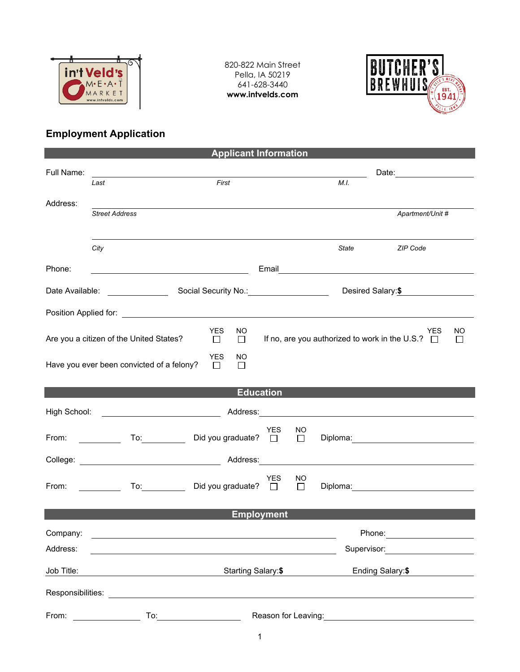

820-822 Main Street Pella, IA 50219 641-628-3440 **www.intvelds.com**



## **Employment Application**

| <b>Applicant Information</b>                                                                                                                                                                                                   |                                                                                                                                                                                                                                      |                          |                     |                     |                                |                                                                                                                                                                                                                                      |  |  |  |  |
|--------------------------------------------------------------------------------------------------------------------------------------------------------------------------------------------------------------------------------|--------------------------------------------------------------------------------------------------------------------------------------------------------------------------------------------------------------------------------------|--------------------------|---------------------|---------------------|--------------------------------|--------------------------------------------------------------------------------------------------------------------------------------------------------------------------------------------------------------------------------------|--|--|--|--|
| Full Name:                                                                                                                                                                                                                     | <u>and the state of the state of the state of the state of the state of the state of the state of the state of the state of the state of the state of the state of the state of the state of the state of the state of the state</u> |                          |                     |                     | Date: ________________________ |                                                                                                                                                                                                                                      |  |  |  |  |
|                                                                                                                                                                                                                                | Last                                                                                                                                                                                                                                 | First                    |                     |                     | M.I.                           |                                                                                                                                                                                                                                      |  |  |  |  |
| Address:                                                                                                                                                                                                                       | <b>Street Address</b>                                                                                                                                                                                                                |                          |                     |                     |                                | Apartment/Unit #                                                                                                                                                                                                                     |  |  |  |  |
|                                                                                                                                                                                                                                |                                                                                                                                                                                                                                      |                          |                     |                     |                                |                                                                                                                                                                                                                                      |  |  |  |  |
|                                                                                                                                                                                                                                | City                                                                                                                                                                                                                                 |                          |                     |                     | State                          | ZIP Code                                                                                                                                                                                                                             |  |  |  |  |
| Phone:                                                                                                                                                                                                                         |                                                                                                                                                                                                                                      |                          |                     |                     |                                | Email <b>Exercise Contract Contract Contract Contract Contract Contract Contract Contract Contract Contract Contract Contract Contract Contract Contract Contract Contract Contract Contract Contract Contract Contract Contract</b> |  |  |  |  |
|                                                                                                                                                                                                                                |                                                                                                                                                                                                                                      |                          |                     | Desired Salary: \$  |                                |                                                                                                                                                                                                                                      |  |  |  |  |
|                                                                                                                                                                                                                                |                                                                                                                                                                                                                                      |                          |                     |                     |                                |                                                                                                                                                                                                                                      |  |  |  |  |
| <b>YES</b><br>NO.<br><b>YES</b><br>If no, are you authorized to work in the U.S.? $\Box$<br>Are you a citizen of the United States?<br>$\Box$<br>$\Box$                                                                        |                                                                                                                                                                                                                                      |                          |                     |                     |                                | NO<br>$\perp$                                                                                                                                                                                                                        |  |  |  |  |
| <b>YES</b><br>NO<br>Have you ever been convicted of a felony?<br>$\Box$<br>П                                                                                                                                                   |                                                                                                                                                                                                                                      |                          |                     |                     |                                |                                                                                                                                                                                                                                      |  |  |  |  |
| <b>Education</b>                                                                                                                                                                                                               |                                                                                                                                                                                                                                      |                          |                     |                     |                                |                                                                                                                                                                                                                                      |  |  |  |  |
| High School:                                                                                                                                                                                                                   |                                                                                                                                                                                                                                      |                          |                     |                     |                                |                                                                                                                                                                                                                                      |  |  |  |  |
| From: The contract of the contract of the contract of the contract of the contract of the contract of the contract of the contract of the contract of the contract of the contract of the contract of the contract of the cont | $\overline{a}$ To: $\overline{a}$                                                                                                                                                                                                    | Did you graduate? $\Box$ | <b>YES</b>          | <b>NO</b><br>$\Box$ |                                | Diploma: Diplomation and the contract of the contract of the contract of the contract of the contract of the contract of the contract of the contract of the contract of the contract of the contract of the contract of the c       |  |  |  |  |
|                                                                                                                                                                                                                                |                                                                                                                                                                                                                                      |                          |                     |                     |                                |                                                                                                                                                                                                                                      |  |  |  |  |
| From:                                                                                                                                                                                                                          | To: Did you graduate? □                                                                                                                                                                                                              |                          | YES                 | NO<br>$\Box$        |                                | Diploma: _________________________________                                                                                                                                                                                           |  |  |  |  |
| <b>Employment</b>                                                                                                                                                                                                              |                                                                                                                                                                                                                                      |                          |                     |                     |                                |                                                                                                                                                                                                                                      |  |  |  |  |
| Company:                                                                                                                                                                                                                       |                                                                                                                                                                                                                                      |                          |                     |                     | Phone:                         | the control of the control of the control of                                                                                                                                                                                         |  |  |  |  |
| Address:                                                                                                                                                                                                                       |                                                                                                                                                                                                                                      |                          |                     |                     |                                | Supervisor: <u>_______</u> _________                                                                                                                                                                                                 |  |  |  |  |
| Job Title:                                                                                                                                                                                                                     |                                                                                                                                                                                                                                      | Starting Salary:\$       |                     |                     | Ending Salary: \$              |                                                                                                                                                                                                                                      |  |  |  |  |
| Responsibilities:                                                                                                                                                                                                              |                                                                                                                                                                                                                                      |                          |                     |                     |                                |                                                                                                                                                                                                                                      |  |  |  |  |
| From:                                                                                                                                                                                                                          | To:                                                                                                                                                                                                                                  |                          | Reason for Leaving: |                     |                                |                                                                                                                                                                                                                                      |  |  |  |  |